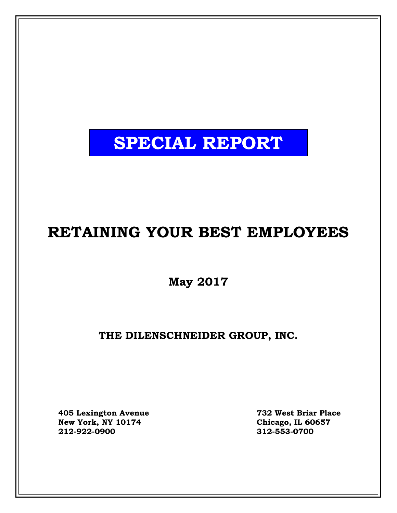# **SPECIAL REPORT**

# **RETAINING YOUR BEST EMPLOYEES**

**May 2017**

**THE DILENSCHNEIDER GROUP, INC.**

**405 Lexington Avenue 732 West Briar Place**  $New York, NY 10174$ **212-922-0900 312-553-0700**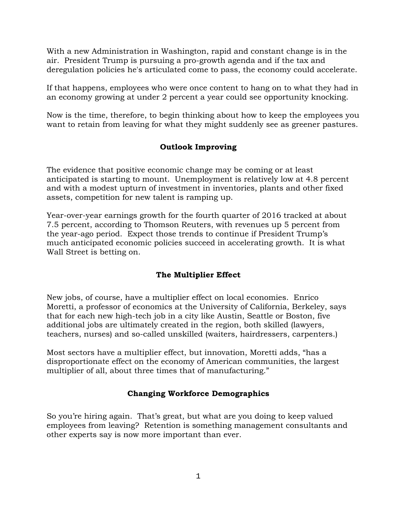With a new Administration in Washington, rapid and constant change is in the air. President Trump is pursuing a pro-growth agenda and if the tax and deregulation policies he's articulated come to pass, the economy could accelerate.

If that happens, employees who were once content to hang on to what they had in an economy growing at under 2 percent a year could see opportunity knocking.

Now is the time, therefore, to begin thinking about how to keep the employees you want to retain from leaving for what they might suddenly see as greener pastures.

# **Outlook Improving**

The evidence that positive economic change may be coming or at least anticipated is starting to mount. Unemployment is relatively low at 4.8 percent and with a modest upturn of investment in inventories, plants and other fixed assets, competition for new talent is ramping up.

Year-over-year earnings growth for the fourth quarter of 2016 tracked at about 7.5 percent, according to Thomson Reuters, with revenues up 5 percent from the year-ago period. Expect those trends to continue if President Trump's much anticipated economic policies succeed in accelerating growth. It is what Wall Street is betting on.

# **The Multiplier Effect**

New jobs, of course, have a multiplier effect on local economies. Enrico Moretti, a professor of economics at the University of California, Berkeley, says that for each new high-tech job in a city like Austin, Seattle or Boston, five additional jobs are ultimately created in the region, both skilled (lawyers, teachers, nurses) and so-called unskilled (waiters, hairdressers, carpenters.)

Most sectors have a multiplier effect, but innovation, Moretti adds, "has a disproportionate effect on the economy of American communities, the largest multiplier of all, about three times that of manufacturing."

# **Changing Workforce Demographics**

So you're hiring again. That's great, but what are you doing to keep valued employees from leaving? Retention is something management consultants and other experts say is now more important than ever.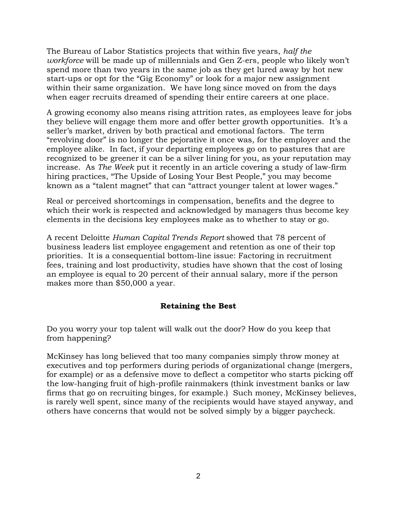The Bureau of Labor Statistics projects that within five years, *half the workforce* will be made up of millennials and Gen Z-ers, people who likely won't spend more than two years in the same job as they get lured away by hot new start-ups or opt for the "Gig Economy" or look for a major new assignment within their same organization. We have long since moved on from the days when eager recruits dreamed of spending their entire careers at one place.

A growing economy also means rising attrition rates, as employees leave for jobs they believe will engage them more and offer better growth opportunities. It's a seller's market, driven by both practical and emotional factors. The term "revolving door" is no longer the pejorative it once was, for the employer and the employee alike. In fact, if your departing employees go on to pastures that are recognized to be greener it can be a silver lining for you, as your reputation may increase. As *The Week* put it recently in an article covering a study of law-firm hiring practices, "The Upside of Losing Your Best People," you may become known as a "talent magnet" that can "attract younger talent at lower wages."

Real or perceived shortcomings in compensation, benefits and the degree to which their work is respected and acknowledged by managers thus become key elements in the decisions key employees make as to whether to stay or go.

A recent Deloitte *Human Capital Trends Report* showed that 78 percent of business leaders list employee engagement and retention as one of their top priorities. It is a consequential bottom-line issue: Factoring in recruitment fees, training and lost productivity, studies have shown that the cost of losing an employee is equal to 20 percent of their annual salary, more if the person makes more than \$50,000 a year.

# **Retaining the Best**

Do you worry your top talent will walk out the door? How do you keep that from happening?

McKinsey has long believed that too many companies simply throw money at executives and top performers during periods of organizational change (mergers, for example) or as a defensive move to deflect a competitor who starts picking off the low-hanging fruit of high-profile rainmakers (think investment banks or law firms that go on recruiting binges, for example.) Such money, McKinsey believes, is rarely well spent, since many of the recipients would have stayed anyway, and others have concerns that would not be solved simply by a bigger paycheck.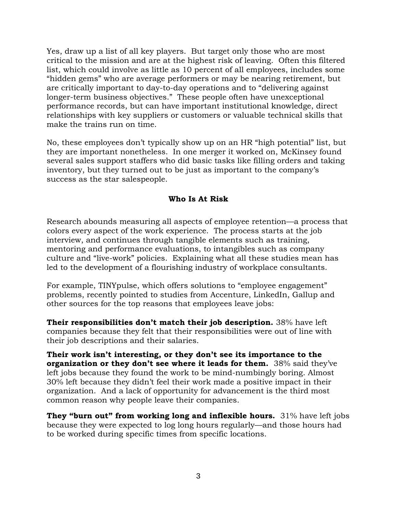Yes, draw up a list of all key players. But target only those who are most critical to the mission and are at the highest risk of leaving. Often this filtered list, which could involve as little as 10 percent of all employees, includes some "hidden gems" who are average performers or may be nearing retirement, but are critically important to day-to-day operations and to "delivering against longer-term business objectives." These people often have unexceptional performance records, but can have important institutional knowledge, direct relationships with key suppliers or customers or valuable technical skills that make the trains run on time.

No, these employees don't typically show up on an HR "high potential" list, but they are important nonetheless. In one merger it worked on, McKinsey found several sales support staffers who did basic tasks like filling orders and taking inventory, but they turned out to be just as important to the company's success as the star salespeople.

#### **Who Is At Risk**

Research abounds measuring all aspects of employee retention—a process that colors every aspect of the work experience. The process starts at the job interview, and continues through tangible elements such as training, mentoring and performance evaluations, to intangibles such as company culture and "live-work" policies. Explaining what all these studies mean has led to the development of a flourishing industry of workplace consultants.

For example, TINYpulse, which offers solutions to "employee engagement" problems, recently pointed to studies from Accenture, LinkedIn, Gallup and other sources for the top reasons that employees leave jobs:

**Their responsibilities don't match their job description.** 38% have left companies because they felt that their responsibilities were out of line with their job descriptions and their salaries.

**Their work isn't interesting, or they don't see its importance to the organization or they don't see where it leads for them.** 38% said they've left jobs because they found the work to be mind-numbingly boring. Almost 30% left because they didn't feel their work made a positive impact in their organization. And a lack of opportunity for advancement is the third most common reason why people leave their companies.

**They "burn out" from working long and inflexible hours.** 31% have left jobs because they were expected to log long hours regularly—and those hours had to be worked during specific times from specific locations.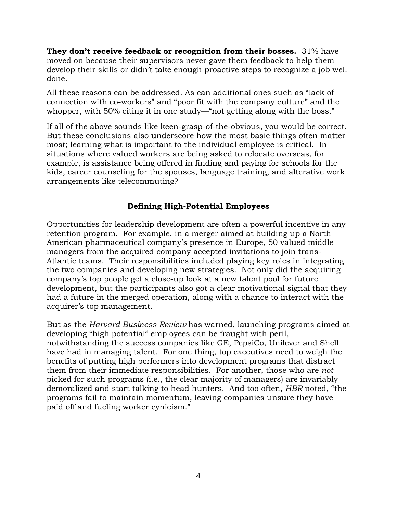**They don't receive feedback or recognition from their bosses.** 31% have moved on because their supervisors never gave them [feedback](https://www.tinypulse.com/blog/sk-employees-want-negative-feedback-from-managers) to help them develop their skills or didn't take enough proactive steps to recognize a job well done.

All these reasons can be addressed. As can additional ones such as "lack of connection with co-workers" and "poor fit with the company culture" and the whopper, with 50% citing it in one study—"not getting along with the boss."

If all of the above sounds like keen-grasp-of-the-obvious, you would be correct. But these conclusions also underscore how the most basic things often matter most; learning what is important to the individual employee is critical. In situations where valued workers are being asked to relocate overseas, for example, is assistance being offered in finding and paying for schools for the kids, career counseling for the spouses, language training, and alterative work arrangements like telecommuting?

#### **Defining High-Potential Employees**

Opportunities for leadership development are often a powerful incentive in any retention program. For example, in a merger aimed at building up a North American pharmaceutical company's presence in Europe, 50 valued middle managers from the acquired company accepted invitations to join trans-Atlantic teams. Their responsibilities included playing key roles in integrating the two companies and developing new strategies. Not only did the acquiring company's top people get a close-up look at a new talent pool for future development, but the participants also got a clear motivational signal that they had a future in the merged operation, along with a chance to interact with the acquirer's top management.

But as the *Harvard Business Review* has warned, launching programs aimed at developing "high potential" employees can be fraught with peril, notwithstanding the success companies like GE, PepsiCo, Unilever and Shell have had in managing talent. For one thing, top executives need to weigh the benefits of putting high performers into development programs that distract them from their immediate responsibilities. For another, those who are *not*  picked for such programs (i.e., the clear majority of managers) are invariably demoralized and start talking to head hunters. And too often, *HBR* noted, "the programs fail to maintain momentum, leaving companies unsure they have paid off and fueling worker cynicism."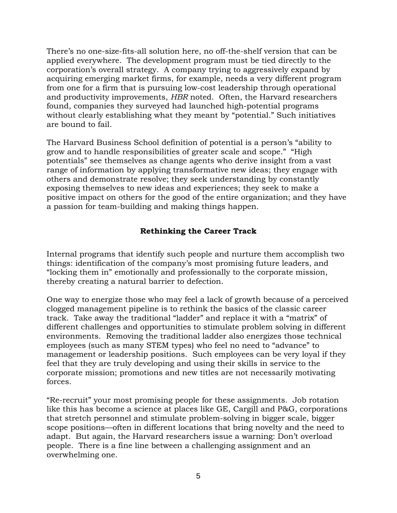There's no one-size-fits-all solution here, no off-the-shelf version that can be applied everywhere. The development program must be tied directly to the corporation's overall strategy. A company trying to aggressively expand by acquiring emerging market firms, for example, needs a very different program from one for a firm that is pursuing low-cost leadership through operational and productivity improvements, *HBR* noted. Often, the Harvard researchers found, companies they surveyed had launched high-potential programs without clearly establishing what they meant by "potential." Such initiatives are bound to fail.

The Harvard Business School definition of potential is a person's "ability to grow and to handle responsibilities of greater scale and scope." "High potentials" see themselves as change agents who derive insight from a vast range of information by applying transformative new ideas; they engage with others and demonstrate resolve; they seek understanding by constantly exposing themselves to new ideas and experiences; they seek to make a positive impact on others for the good of the entire organization; and they have a passion for team-building and making things happen.

# **Rethinking the Career Track**

Internal programs that identify such people and nurture them accomplish two things: identification of the company's most promising future leaders, and "locking them in" emotionally and professionally to the corporate mission, thereby creating a natural barrier to defection.

One way to energize those who may feel a lack of growth because of a perceived clogged management pipeline is to rethink the basics of the classic career track. Take away the traditional "ladder" and replace it with a "matrix" of different challenges and opportunities to stimulate problem solving in different environments. Removing the traditional ladder also energizes those technical employees (such as many STEM types) who feel no need to "advance" to management or leadership positions. Such employees can be very loyal if they feel that they are truly developing and using their skills in service to the corporate mission; promotions and new titles are not necessarily motivating forces.

"Re-recruit" your most promising people for these assignments. Job rotation like this has become a science at places like GE, Cargill and P&G, corporations that stretch personnel and stimulate problem-solving in bigger scale, bigger scope positions—often in different locations that bring novelty and the need to adapt. But again, the Harvard researchers issue a warning: Don't overload people. There is a fine line between a challenging assignment and an overwhelming one.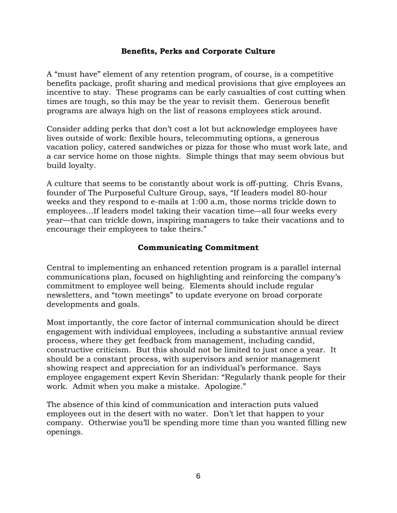#### **Benefits, Perks and Corporate Culture**

A "must have" element of any retention program, of course, is a competitive benefits package, profit sharing and medical provisions that give employees an incentive to stay. These programs can be early casualties of cost cutting when times are tough, so this may be the year to revisit them. Generous benefit programs are always high on the list of reasons employees stick around.

Consider adding perks that don't cost a lot but acknowledge employees have lives outside of work: flexible hours, telecommuting options, a generous vacation policy, catered sandwiches or pizza for those who must work late, and a car service home on those nights. Simple things that may seem obvious but build loyalty.

A culture that seems to be constantly about work is off-putting. Chris Evans, founder of The Purposeful Culture Group, says, "If leaders model 80-hour weeks and they respond to e-mails at 1:00 a.m, those norms trickle down to employees…If leaders model taking their vacation time—all four weeks every year—that can trickle down, inspiring managers to take their vacations and to encourage their employees to take theirs."

#### **Communicating Commitment**

Central to implementing an enhanced retention program is a parallel internal communications plan, focused on highlighting and reinforcing the company's commitment to employee well being. Elements should include regular newsletters, and "town meetings" to update everyone on broad corporate developments and goals.

Most importantly, the core factor of internal communication should be direct engagement with individual employees, including a substantive annual review process, where they get feedback from management, including candid, constructive criticism. But this should not be limited to just once a year. It should be a constant process, with supervisors and senior management showing respect and appreciation for an individual's performance. Says employee engagement expert Kevin Sheridan: "Regularly thank people for their work. Admit when you make a mistake. Apologize."

The absence of this kind of communication and interaction puts valued employees out in the desert with no water. Don't let that happen to your company. Otherwise you'll be spending more time than you wanted filling new openings.